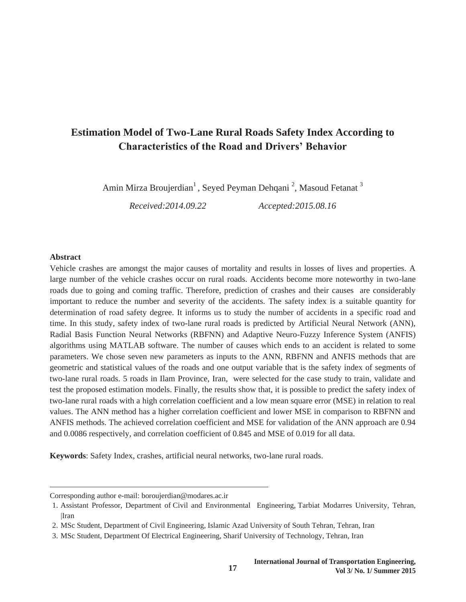# **Estimation Model of Two-Lane Rural Roads Safety Index According to Characteristics of the Road and Drivers' Behavior**

Amin Mirza Broujerdian<sup>1</sup> , Seyed Peyman Dehqani <sup>2</sup>, Masoud Fetanat <sup>3</sup>

*Received:2014.09.22 Accepted:2015.08.16*

#### **Abstract**

Vehicle crashes are amongst the major causes of mortality and results in losses of lives and properties. A large number of the vehicle crashes occur on rural roads. Accidents become more noteworthy in two-lane roads due to going and coming traffic. Therefore, prediction of crashes and their causes are considerably important to reduce the number and severity of the accidents. The safety index is a suitable quantity for determination of road safety degree. It informs us to study the number of accidents in a specific road and time. In this study, safety index of two-lane rural roads is predicted by Artificial Neural Network (ANN), Radial Basis Function Neural Networks (RBFNN) and Adaptive Neuro-Fuzzy Inference System (ANFIS) algorithms using MATLAB software. The number of causes which ends to an accident is related to some parameters. We chose seven new parameters as inputs to the ANN, RBFNN and ANFIS methods that are geometric and statistical values of the roads and one output variable that is the safety index of segments of two-lane rural roads. 5 roads in Ilam Province, Iran, were selected for the case study to train, validate and test the proposed estimation models. Finally, the results show that, it is possible to predict the safety index of two-lane rural roads with a high correlation coefficient and a low mean square error (MSE) in relation to real values. The ANN method has a higher correlation coefficient and lower MSE in comparison to RBFNN and ANFIS methods. The achieved correlation coefficient and MSE for validation of the ANN approach are 0.94 and 0.0086 respectively, and correlation coefficient of 0.845 and MSE of 0.019 for all data.

**Keywords**: Safety Index, crashes, artificial neural networks, two-lane rural roads.

<u> 1989 - Andrea Stadt, fransk politiker (d. 1989)</u>

**17**

Corresponding author e-mail: boroujerdian@modares.ac.ir

<sup>1.</sup> Assistant Professor, Department of Civil and Environmental Engineering, Tarbiat Modarres University, Tehran, |Iran

<sup>2.</sup> MSc Student, Department of Civil Engineering, Islamic Azad University of South Tehran, Tehran, Iran

<sup>3.</sup> MSc Student, Department Of Electrical Engineering, Sharif University of Technology, Tehran, Iran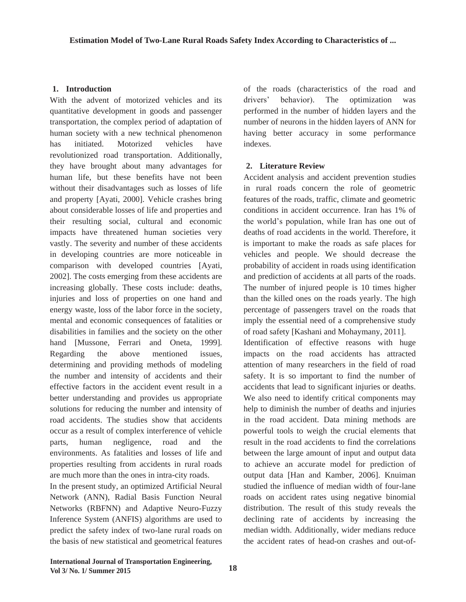## **1. Introduction**

With the advent of motorized vehicles and its quantitative development in goods and passenger transportation, the complex period of adaptation of human society with a new technical phenomenon has initiated. Motorized vehicles have revolutionized road transportation. Additionally, they have brought about many advantages for human life, but these benefits have not been without their disadvantages such as losses of life and property [Ayati, 2000]. Vehicle crashes bring about considerable losses of life and properties and their resulting social, cultural and economic impacts have threatened human societies very vastly. The severity and number of these accidents in developing countries are more noticeable in comparison with developed countries [Ayati, 2002]. The costs emerging from these accidents are increasing globally. These costs include: deaths, injuries and loss of properties on one hand and energy waste, loss of the labor force in the society, mental and economic consequences of fatalities or disabilities in families and the society on the other hand [Mussone, Ferrari and Oneta, 1999]. Regarding the above mentioned issues, determining and providing methods of modeling the number and intensity of accidents and their effective factors in the accident event result in a better understanding and provides us appropriate solutions for reducing the number and intensity of road accidents. The studies show that accidents occur as a result of complex interference of vehicle parts, human negligence, road and the environments. As fatalities and losses of life and properties resulting from accidents in rural roads are much more than the ones in intra-city roads.

In the present study, an optimized Artificial Neural Network (ANN), Radial Basis Function Neural Networks (RBFNN) and Adaptive Neuro-Fuzzy Inference System (ANFIS) algorithms are used to predict the safety index of two-lane rural roads on the basis of new statistical and geometrical features of the roads (characteristics of the road and drivers' behavior). The optimization was performed in the number of hidden layers and the number of neurons in the hidden layers of ANN for having better accuracy in some performance indexes.

## **2. Literature Review**

Accident analysis and accident prevention studies in rural roads concern the role of geometric features of the roads, traffic, climate and geometric conditions in accident occurrence. Iran has 1% of the world's population, while Iran has one out of deaths of road accidents in the world. Therefore, it is important to make the roads as safe places for vehicles and people. We should decrease the probability of accident in roads using identification and prediction of accidents at all parts of the roads. The number of injured people is 10 times higher than the killed ones on the roads yearly. The high percentage of passengers travel on the roads that imply the essential need of a comprehensive study of road safety [Kashani and Mohaymany, 2011].

Identification of effective reasons with huge impacts on the road accidents has attracted attention of many researchers in the field of road safety. It is so important to find the number of accidents that lead to significant injuries or deaths. We also need to identify critical components may help to diminish the number of deaths and injuries in the road accident. Data mining methods are powerful tools to weigh the crucial elements that result in the road accidents to find the correlations between the large amount of input and output data to achieve an accurate model for prediction of output data [Han and Kamber, 2006]. Knuiman studied the influence of median width of four-lane roads on accident rates using negative binomial distribution. The result of this study reveals the declining rate of accidents by increasing the median width. Additionally, wider medians reduce the accident rates of head-on crashes and out-of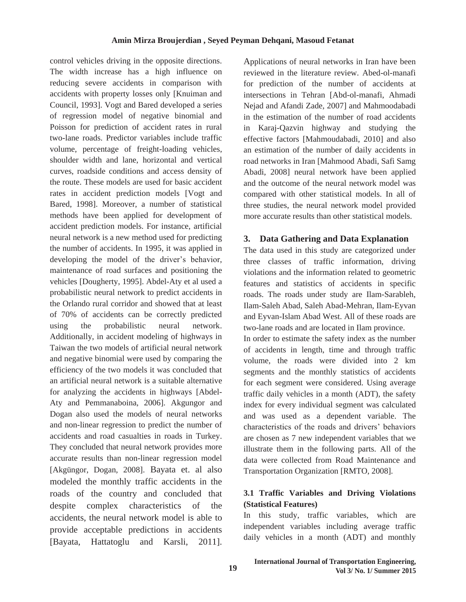control vehicles driving in the opposite directions. The width increase has a high influence on reducing severe accidents in comparison with accidents with property losses only [Knuiman and Council, 1993]. Vogt and Bared developed a series of regression model of negative binomial and Poisson for prediction of accident rates in rural two-lane roads. Predictor variables include traffic volume, percentage of freight-loading vehicles, shoulder width and lane, horizontal and vertical curves, roadside conditions and access density of the route. These models are used for basic accident rates in accident prediction models [Vogt and Bared, 1998]. Moreover, a number of statistical methods have been applied for development of accident prediction models. For instance, artificial neural network is a new method used for predicting the number of accidents. In 1995, it was applied in developing the model of the driver's behavior, maintenance of road surfaces and positioning the vehicles [Dougherty, 1995]. Abdel-Aty et al used a probabilistic neural network to predict accidents in the Orlando rural corridor and showed that at least of 70% of accidents can be correctly predicted using the probabilistic neural network. Additionally, in accident modeling of highways in Taiwan the two models of artificial neural network and negative binomial were used by comparing the efficiency of the two models it was concluded that an artificial neural network is a suitable alternative for analyzing the accidents in highways [Abdel-Aty and Pemmanaboina, 2006]. Akgungor and Dogan also used the models of neural networks and non-linear regression to predict the number of accidents and road casualties in roads in Turkey. They concluded that neural network provides more accurate results than non-linear regression model [Akgüngor, Dogan, 2008]. Bayata et. al also modeled the monthly traffic accidents in the roads of the country and concluded that despite complex characteristics of the accidents, the neural network model is able to provide acceptable predictions in accidents [Bayata, Hattatoglu and Karsli, 2011].

Applications of neural networks in Iran have been reviewed in the literature review. Abed-ol-manafi for prediction of the number of accidents at intersections in Tehran [Abd-ol-manafi, Ahmadi Nejad and Afandi Zade, 2007] and Mahmoodabadi in the estimation of the number of road accidents in Karaj-Qazvin highway and studying the effective factors [Mahmoudabadi, 2010] and also an estimation of the number of daily accidents in road networks in Iran [Mahmood Abadi, Safi Samg Abadi, 2008] neural network have been applied and the outcome of the neural network model was compared with other statistical models. In all of three studies, the neural network model provided more accurate results than other statistical models.

## **3. Data Gathering and Data Explanation**

The data used in this study are categorized under three classes of traffic information, driving violations and the information related to geometric features and statistics of accidents in specific roads. The roads under study are Ilam-Sarableh, Ilam-Saleh Abad, Saleh Abad-Mehran, Ilam-Eyvan and Eyvan-Islam Abad West. All of these roads are two-lane roads and are located in Ilam province.

In order to estimate the safety index as the number of accidents in length, time and through traffic volume, the roads were divided into 2 km segments and the monthly statistics of accidents for each segment were considered. Using average traffic daily vehicles in a month (ADT), the safety index for every individual segment was calculated and was used as a dependent variable. The characteristics of the roads and drivers' behaviors are chosen as 7 new independent variables that we illustrate them in the following parts. All of the data were collected from Road Maintenance and Transportation Organization [RMTO, 2008].

## **3.1 Traffic Variables and Driving Violations (Statistical Features)**

In this study, traffic variables, which are independent variables including average traffic daily vehicles in a month (ADT) and monthly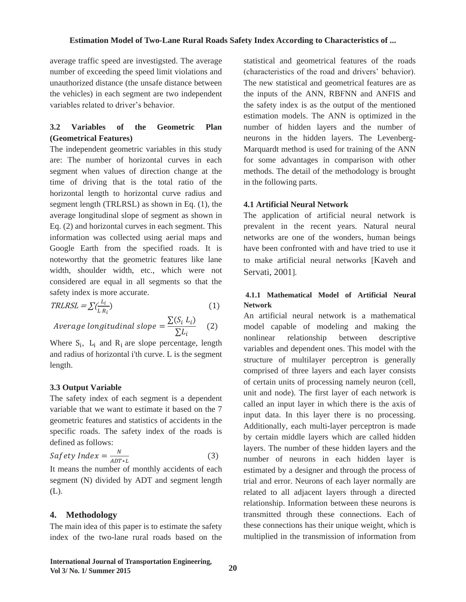average traffic speed are investigsted. The average number of exceeding the speed limit violations and unauthorized distance (the unsafe distance between the vehicles) in each segment are two independent variables related to driver's behavior.

#### **Variables**  $3.2$  $of$ the **Geometric** Plan (Geometrical Features)

The independent geometric variables in this study are: The number of horizontal curves in each segment when values of direction change at the time of driving that is the total ratio of the horizontal length to horizontal curve radius and segment length (TRLRSL) as shown in Eq.  $(1)$ , the average longitudinal slope of segment as shown in Eq.  $(2)$  and horizontal curves in each segment. This information was collected using aerial maps and Google Earth from the specified roads. It is noteworthy that the geometric features like lane width, shoulder width, etc., which were not considered are equal in all segments so that the safety index is more accurate.

$$
TRLRSL = \sum_{i} \left( \frac{L_i}{L R_i} \right) \tag{1}
$$

$$
Average \ longitudinal \ slope = \frac{\sum (S_i \ L_i)}{\sum L_i} \tag{2}
$$

Where  $S_i$ ,  $L_i$  and  $R_i$  are slope percentage, length and radius of horizontal i'th curve. L is the segment length.

## 3.3 Output Variable

The safety index of each segment is a dependent variable that we want to estimate it based on the 7 geometric features and statistics of accidents in the specific roads. The safety index of the roads is defined as follows:

$$
Safety\,\,Index = \frac{N}{ADT \cdot L} \tag{3}
$$

It means the number of monthly accidents of each segment (N) divided by ADT and segment length  $(L)$ .

## 4. Methodology

The main idea of this paper is to estimate the safety index of the two-lane rural roads based on the

statistical and geometrical features of the roads (characteristics of the road and drivers' behavior). The new statistical and geometrical features are as the inputs of the ANN, RBFNN and ANFIS and the safety index is as the output of the mentioned estimation models. The ANN is optimized in the number of hidden layers and the number of neurons in the hidden layers. The Levenberg-Marquardt method is used for training of the ANN for some advantages in comparison with other methods. The detail of the methodology is brought in the following parts.

### **4.1 Artificial Neural Network**

The application of artificial neural network is prevalent in the recent years. Natural neural networks are one of the wonders, human beings have been confronted with and have tried to use it to make artificial neural networks [Kaveh and Servati, 2001].

## 4.1.1 Mathematical Model of Artificial Neural **Network**

An artificial neural network is a mathematical model capable of modeling and making the nonlinear relationship between descriptive variables and dependent ones. This model with the structure of multilayer perceptron is generally comprised of three layers and each layer consists of certain units of processing namely neuron (cell, unit and node). The first layer of each network is called an input layer in which there is the axis of input data. In this layer there is no processing. Additionally, each multi-layer perceptron is made by certain middle layers which are called hidden layers. The number of these hidden layers and the number of neurons in each hidden layer is estimated by a designer and through the process of trial and error. Neurons of each layer normally are related to all adjacent layers through a directed relationship. Information between these neurons is transmitted through these connections. Each of these connections has their unique weight, which is multiplied in the transmission of information from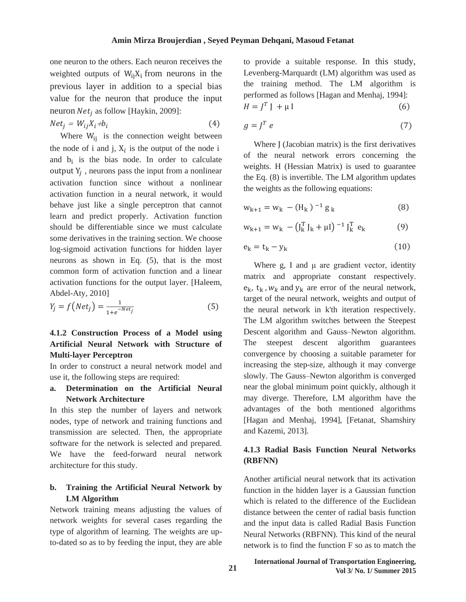one neuron to the others. Each neuron receives the weighted outputs of  $W_{ii}X_i$  from neurons in the previous layer in addition to a special bias value for the neuron that produce the input neuron  $Net<sub>i</sub>$  as follow [Haykin, 2009]:

 $Net_j = W_{ij}X_i + b_i$  $(4)$ 

Where  $W_{ii}$  is the connection weight between the node of i and j,  $X_i$  is the output of the node i and  $b_i$  is the bias node. In order to calculate output  $Y_i$ , neurons pass the input from a nonlinear activation function since without a nonlinear activation function in a neural network, it would behave just like a single perceptron that cannot learn and predict properly. Activation function should be differentiable since we must calculate some derivatives in the training section. We choose log-sigmoid activation functions for hidden layer neurons as shown in Eq.  $(5)$ , that is the most common form of activation function and a linear activation functions for the output layer. [Haleem, Abdel-Aty, 2010]

$$
Y_j = f(Net_j) = \frac{1}{1 + e^{-Net_j}}
$$
\n(5)

## 4.1.2 Construction Process of a Model using Artificial Neural Network with Structure of **Multi-layer Perceptron**

In order to construct a neural network model and use it, the following steps are required:

#### Determination on the Artificial Neural  $a_{\bullet}$ **Network Architecture**

In this step the number of layers and network nodes, type of network and training functions and transmission are selected. Then, the appropriate software for the network is selected and prepared. We have the feed-forward neural network architecture for this study.

#### b. Training the Artificial Neural Network by **LM** Algorithm

Network training means adjusting the values of network weights for several cases regarding the type of algorithm of learning. The weights are upto-dated so as to by feeding the input, they are able

to provide a suitable response. In this study, Levenberg-Marquardt (LM) algorithm was used as the training method. The LM algorithm is performed as follows [Hagan and Menhaj, 1994]:  $H = I^T I + \mu I$  $(6)$ 

$$
g = J^T e \tag{7}
$$

Where J (Jacobian matrix) is the first derivatives of the neural network errors concerning the weights. H (Hessian Matrix) is used to guarantee the Eq.  $(8)$  is invertible. The LM algorithm updates the weights as the following equations:

$$
w_{k+1} = w_k - (H_k)^{-1} g_k \tag{8}
$$

$$
w_{k+1} = w_k - (\mathbf{J}_k^T \mathbf{J}_k + \mu \mathbf{I})^{-1} \mathbf{J}_k^T e_k
$$
 (9)

$$
e_k = t_k - y_k \tag{10}
$$

Where  $g$ , I and  $\mu$  are gradient vector, identity matrix and appropriate constant respectively.  $e_k$ ,  $t_k$ ,  $w_k$  and  $y_k$  are error of the neural network, target of the neural network, weights and output of the neural network in k'th iteration respectively. The LM algorithm switches between the Steepest Descent algorithm and Gauss-Newton algorithm. steepest descent algorithm guarantees The convergence by choosing a suitable parameter for increasing the step-size, although it may converge slowly. The Gauss-Newton algorithm is converged near the global minimum point quickly, although it may diverge. Therefore, LM algorithm have the advantages of the both mentioned algorithms [Hagan and Menhaj, 1994], [Fetanat, Shamshiry and Kazemi, 2013].

## 4.1.3 Radial Basis Function Neural Networks (RBFNN)

Another artificial neural network that its activation function in the hidden laver is a Gaussian function which is related to the difference of the Euclidean distance between the center of radial basis function and the input data is called Radial Basis Function Neural Networks (RBFNN). This kind of the neural network is to find the function F so as to match the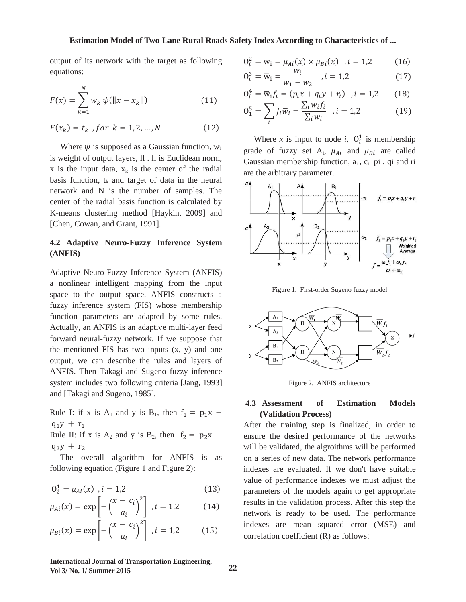#### **Estimation Model of Two-Lane Rural Roads Safety Index According to Characteristics of ...**

output of its network with the target as following equations:

$$
F(x) = \sum_{k=1}^{N} w_k \psi(||x - x_k||)
$$
 (11)

$$
F(x_k) = t_k \text{ , for } k = 1, 2, ..., N \tag{12}
$$

Where  $\psi$  is supposed as a Gaussian function,  $w_k$ is weight of output layers, ll . ll is Euclidean norm, x is the input data,  $x_k$  is the center of the radial basis function,  $t_k$  and target of data in the neural network and N is the number of samples. The center of the radial basis function is calculated by K-means clustering method [Haykin, 2009] and [Chen, Cowan, and Grant, 1991].

## **4.2 Adaptive Neuro-Fuzzy Inference System (ANFIS)**

Adaptive Neuro-Fuzzy Inference System (ANFIS) a nonlinear intelligent mapping from the input space to the output space. ANFIS constructs a fuzzy inference system (FIS) whose membership function parameters are adapted by some rules. Actually, an ANFIS is an adaptive multi-layer feed forward neural-fuzzy network. If we suppose that the mentioned FIS has two inputs  $(x, y)$  and one output, we can describe the rules and layers of ANFIS. Then Takagi and Sugeno fuzzy inference system includes two following criteria [Jang, 1993] and [Takagi and Sugeno, 1985].

Rule I: if x is  $A_1$  and y is  $B_1$ , then  $f_1 = p_1x + p_2$  $q_1y + r_1$ 

Rule II: if x is  $A_2$  and y is  $B_2$ , then  $f_2 = p_2x + p_3$  $q_2y + r_2$ 

 The overall algorithm for ANFIS is as following equation (Figure 1 and Figure 2):

$$
0_i^1 = \mu_{Ai}(x) , i = 1,2
$$
 (13)

$$
\mu_{Ai}(x) = \exp\left[-\left(\frac{x - c_i}{a_i}\right)^2\right], i = 1, 2 \tag{14}
$$

$$
\mu_{Bi}(x) = \exp\left[-\left(\frac{x - c_i}{a_i}\right)^2\right], i = 1,2 \tag{15}
$$

$$
0_i^2 = w_i = \mu_{Ai}(x) \times \mu_{Bi}(x) \quad , i = 1,2 \tag{16}
$$

$$
O_i^3 = \overline{w}_i = \frac{w_i}{w_1 + w_2} \quad , i = 1,2 \tag{17}
$$

$$
0_i^4 = \overline{w}_i f_i = (p_i x + q_i y + r_i) \quad, i = 1,2 \tag{18}
$$

$$
0_1^5 = \sum_i f_i \overline{w}_i = \frac{\sum_i w_i f_i}{\sum_i w_i}, i = 1,2
$$
 (19)

Where *x* is input to node *i*,  $O_i^1$  is membership grade of fuzzy set  $A_i$ ,  $\mu_{Ai}$  and  $\mu_{Bi}$  are called Gaussian membership function,  $a_i$ ,  $c_i$  pi, qi and ri are the arbitrary parameter.



Figure 1. First-order Sugeno fuzzy model



Figure 2. ANFIS architecture

#### **4.3 Assessment of Estimation Models (Validation Process)**

After the training step is finalized, in order to ensure the desired performance of the networks will be validated, the algroithms will be performed on a series of new data. The network performance indexes are evaluated. If we don't have suitable value of performance indexes we must adjust the parameters of the models again to get appropriate results in the validation process. After this step the network is ready to be used. The performance indexes are mean squared error (MSE) and correlation coefficient (R) as follows:

**International Journal of Transportation Engineering, Vol 3/ No. 1/ Summer 2015**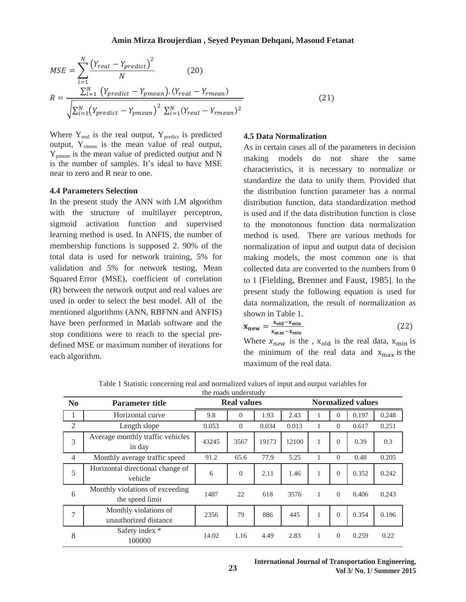$$
MSE = \sum_{i=1}^{N} \frac{(Y_{real} - Y_{predict})^2}{N}
$$
 (20)  

$$
R = \frac{\sum_{i=1}^{N} (Y_{predict} - Y_{pmean}). (Y_{real} - Y_{rmean})}{\sqrt{\sum_{i=1}^{N} (Y_{predict} - Y_{pmean})^2} \sum_{i=1}^{N} (Y_{real} - Y_{rmean})^2}
$$
 (21)

Where  $Y_{\text{real}}$  is the real output,  $Y_{\text{predict}}$  is predicted output, Yrmean is the mean value of real output, Ypmean is the mean value of predicted output and N is the number of samples. It's ideal to have MSE near to zero and R near to one.

#### **4.4 Parameters Selection**

In the present study the ANN with LM algorithm with the structure of multilayer perceptron, sigmoid activation function and supervised learning method is used. In ANFIS, the number of membership functions is supposed 2. 90% of the total data is used for network training, 5% for validation and 5% for network testing, Mean Squared Error (MSE), coefficient of correlation (R) between the network output and real values are used in order to select the best model. All of the mentioned algorithms (ANN, RBFNN and ANFIS) have been performed in Matlab software and the stop conditions were to reach to the special predefined MSE or maximum number of iterations for each algorithm.

#### **4.5 Data Normalization**

As in certain cases all of the parameters in decision making models do not share the same characteristics, it is necessary to normalize or standardize the data to unify them. Provided that the distribution function parameter has a normal distribution function, data standardization method is used and if the data distribution function is close to the monotonous function data normalization method is used. There are various methods for normalization of input and output data of decision making models, the most common one is that collected data are converted to the numbers from 0 to 1 [Fielding, Brenner and Faust, 1985]. In the present study the following equation is used for data normalization, the result of normalization as shown in Table 1.

$$
x_{new} = \frac{x_{old} - x_{min}}{x_{max} - x_{min}}
$$
(22)

Where  $x_{new}$  is the ,  $x_{old}$  is the real data,  $x_{min}$  is the minimum of the real data and  $x_{max}$  is the maximum of the real data.

| N <sub>0</sub> | <b>Parameter title</b>                             | <b>Real values</b> |          |       | <b>Normalized values</b> |              |          |       |       |
|----------------|----------------------------------------------------|--------------------|----------|-------|--------------------------|--------------|----------|-------|-------|
| -1             | Horizontal curve                                   | 9.8                | $\Omega$ | 1.93  | 2.43                     |              | $\theta$ | 0.197 | 0.248 |
| $\overline{2}$ | Length slope                                       | 0.053              | $\Omega$ | 0.034 | 0.013                    | $\mathbf{1}$ | $\Omega$ | 0.617 | 0.251 |
| 3              | Average monthly traffic vehicles<br>in day         | 43245              | 3567     | 19173 | 12100                    | 1            | $\theta$ | 0.39  | 0.3   |
| $\overline{4}$ | Monthly average traffic speed                      | 91.2               | 65.6     | 77.9  | 5.25                     | 1            | $\Omega$ | 0.48  | 0.205 |
| 5              | Horizontal directional change of<br>vehicle        | 6                  | $\Omega$ | 2.11  | 1.46                     | 1            | $\theta$ | 0.352 | 0.242 |
| 6              | Monthly violations of exceeding<br>the speed limit | 1487               | 22       | 618   | 3576                     | 1            | $\Omega$ | 0.406 | 0.243 |
| 7              | Monthly violations of<br>unauthorized distance     | 2356               | 79       | 886   | 445                      | 1            | $\theta$ | 0.354 | 0.196 |
| 8              | Safety index *<br>100000                           | 14.02              | 1.16     | 4.49  | 2.83                     | 1            | $\Omega$ | 0.259 | 0.22  |

Table 1 Statistic concerning real and normalized values of input and output variables for the roads understudy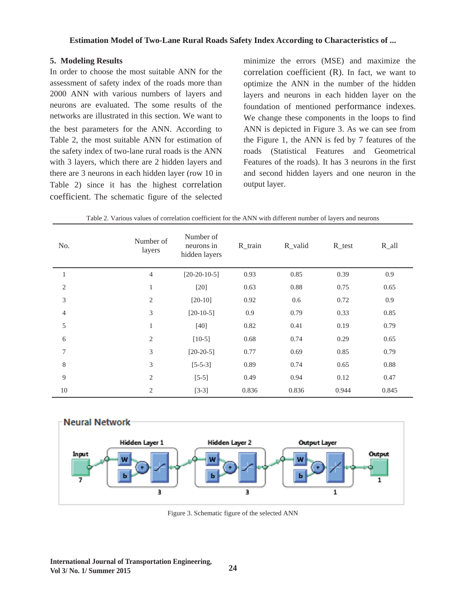#### **Estimation Model of Two-Lane Rural Roads Safety Index According to Characteristics of ...**

#### **5. Modeling Results**

In order to choose the most suitable ANN for the assessment of safety index of the roads more than 2000 ANN with various numbers of layers and neurons are evaluated. The some results of the networks are illustrated in this section. We want to the best parameters for the ANN. According to Table 2, the most suitable ANN for estimation of the safety index of two-lane rural roads is the ANN with 3 layers, which there are 2 hidden layers and there are 3 neurons in each hidden layer (row 10 in Table 2) since it has the highest correlation coefficient. The schematic figure of the selected

minimize the errors (MSE) and maximize the correlation coefficient (R). In fact, we want to optimize the ANN in the number of the hidden layers and neurons in each hidden layer on the foundation of mentioned performance indexes. We change these components in the loops to find ANN is depicted in Figure 3. As we can see from the Figure 1, the ANN is fed by 7 features of the roads (Statistical Features and Geometrical Features of the roads). It has 3 neurons in the first and second hidden layers and one neuron in the output layer.

| No.            | Number of<br>layers | Number of<br>neurons in<br>hidden layers | $R$ _train | R_valid  | $R_{\text{test}}$ | $R_all$ |
|----------------|---------------------|------------------------------------------|------------|----------|-------------------|---------|
| $\mathbf{1}$   | $\overline{4}$      | $[20-20-10-5]$                           | 0.93       | 0.85     | 0.39              | 0.9     |
| $\sqrt{2}$     | $\,1\,$             | $[20]$                                   | 0.63       | $0.88\,$ | 0.75              | 0.65    |
| 3              | $\mathbf{2}$        | $[20-10]$                                | 0.92       | 0.6      | 0.72              | 0.9     |
| $\overline{4}$ | 3                   | $[20-10-5]$                              | 0.9        | 0.79     | 0.33              | 0.85    |
| 5              | $\mathbf{1}$        | $[40]$                                   | 0.82       | 0.41     | 0.19              | 0.79    |
| 6              | $\mathbf{2}$        | $[10-5]$                                 | 0.68       | 0.74     | 0.29              | 0.65    |
| $\tau$         | 3                   | $[20-20-5]$                              | 0.77       | 0.69     | 0.85              | 0.79    |
| $8\,$          | 3                   | $[5-5-3]$                                | 0.89       | 0.74     | 0.65              | 0.88    |
| $\overline{9}$ | $\sqrt{2}$          | $[5-5]$                                  | 0.49       | 0.94     | 0.12              | 0.47    |
| 10             | $\mathbf{2}$        | $[3-3]$                                  | 0.836      | 0.836    | 0.944             | 0.845   |

Table 2. Various values of correlation coefficient for the ANN with different number of layers and neurons



Figure 3. Schematic figure of the selected ANN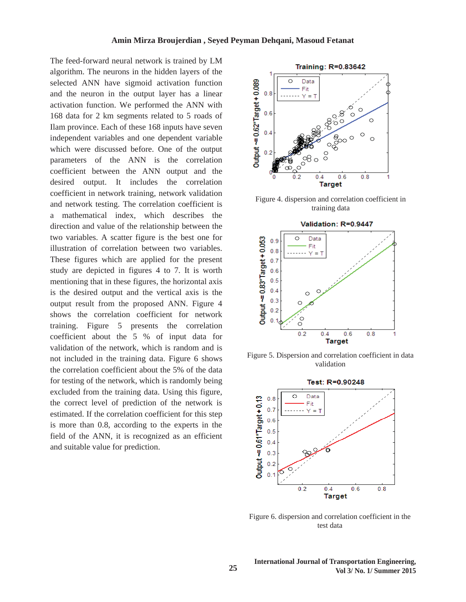The feed-forward neural network is trained by LM algorithm. The neurons in the hidden layers of the selected ANN have sigmoid activation function and the neuron in the output layer has a linear activation function. We performed the ANN with 168 data for 2 km segments related to 5 roads of Ilam province. Each of these 168 inputs have seven independent variables and one dependent variable which were discussed before. One of the output parameters of the ANN is the correlation coefficient between the ANN output and the desired output. It includes the correlation coefficient in network training, network validation and network testing. The correlation coefficient is a mathematical index, which describes the direction and value of the relationship between the two variables. A scatter figure is the best one for illustration of correlation between two variables. These figures which are applied for the present study are depicted in figures 4 to 7. It is worth mentioning that in these figures, the horizontal axis is the desired output and the vertical axis is the output result from the proposed ANN. Figure 4 shows the correlation coefficient for network training. Figure 5 presents the correlation coefficient about the 5 % of input data for validation of the network, which is random and is not included in the training data. Figure 6 shows the correlation coefficient about the 5% of the data for testing of the network, which is randomly being excluded from the training data. Using this figure, the correct level of prediction of the network is estimated. If the correlation coefficient for this step is more than 0.8, according to the experts in the field of the ANN, it is recognized as an efficient and suitable value for prediction.



Figure 4. dispersion and correlation coefficient in training data



Figure 5. Dispersion and correlation coefficient in data validation



Figure 6. dispersion and correlation coefficient in the test data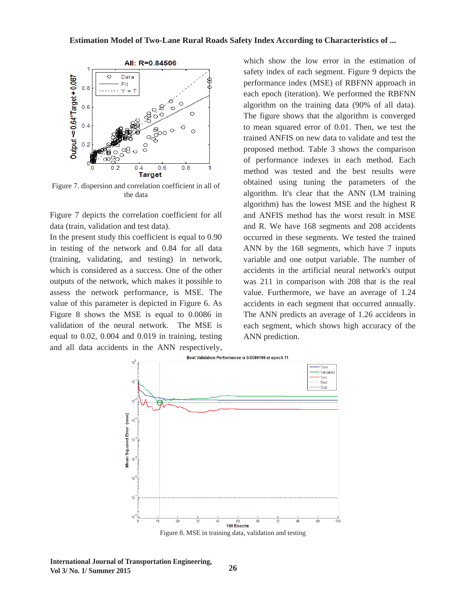#### **Estimation Model of Two-Lane Rural Roads Safety Index According to Characteristics of ...**



Figure 7. dispersion and correlation coefficient in all of the data

Figure 7 depicts the correlation coefficient for all data (train, validation and test data).

In the present study this coefficient is equal to 0.90 in testing of the network and 0.84 for all data (training, validating, and testing) in network, which is considered as a success. One of the other outputs of the network, which makes it possible to assess the network performance, is MSE. The value of this parameter is depicted in Figure 6. As Figure 8 shows the MSE is equal to 0.0086 in validation of the neural network. The MSE is equal to 0.02, 0.004 and 0.019 in training, testing and all data accidents in the ANN respectively,

which show the low error in the estimation of safety index of each segment. Figure 9 depicts the performance index (MSE) of RBFNN approach in each epoch (iteration). We performed the RBFNN algorithm on the training data (90% of all data). The figure shows that the algorithm is converged to mean squared error of 0.01. Then, we test the trained ANFIS on new data to validate and test the proposed method. Table 3 shows the comparison of performance indexes in each method. Each method was tested and the best results were obtained using tuning the parameters of the algorithm. It's clear that the ANN (LM training algorithm) has the lowest MSE and the highest R and ANFIS method has the worst result in MSE and R. We have 168 segments and 208 accidents occurred in these segments. We tested the trained ANN by the 168 segments, which have 7 inputs variable and one output variable. The number of accidents in the artificial neural network's output was 211 in comparison with 208 that is the real value. Furthermore, we have an average of 1.24 accidents in each segment that occurred annually. The ANN predicts an average of 1.26 accidents in each segment, which shows high accuracy of the ANN prediction.



**International Journal of Transportation Engineering, Vol 3/ No. 1/ Summer 2015**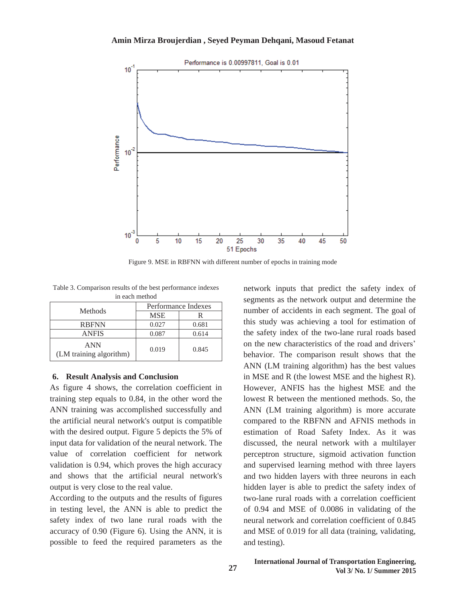#### **Amin Mirza Broujerdian , Seyed Peyman Dehqani, Masoud Fetanat**



Figure 9. MSE in RBFNN with different number of epochs in training mode

Table 3. Comparison results of the best performance indexes in each method

| Methods                               | Performance Indexes |       |  |  |
|---------------------------------------|---------------------|-------|--|--|
|                                       | <b>MSE</b>          |       |  |  |
| <b>RBFNN</b>                          | 0.027               | 0.681 |  |  |
| ANFIS                                 | 0.087               | 0.614 |  |  |
| <b>ANN</b><br>(LM training algorithm) | 0.019               | 0.845 |  |  |

#### **6. Result Analysis and Conclusion**

As figure 4 shows, the correlation coefficient in training step equals to 0.84, in the other word the ANN training was accomplished successfully and the artificial neural network's output is compatible with the desired output. Figure 5 depicts the 5% of input data for validation of the neural network. The value of correlation coefficient for network validation is 0.94, which proves the high accuracy and shows that the artificial neural network's output is very close to the real value.

According to the outputs and the results of figures in testing level, the ANN is able to predict the safety index of two lane rural roads with the accuracy of 0.90 (Figure 6). Using the ANN, it is possible to feed the required parameters as the

network inputs that predict the safety index of segments as the network output and determine the number of accidents in each segment. The goal of this study was achieving a tool for estimation of the safety index of the two-lane rural roads based on the new characteristics of the road and drivers' behavior. The comparison result shows that the ANN (LM training algorithm) has the best values in MSE and R (the lowest MSE and the highest R). However, ANFIS has the highest MSE and the lowest R between the mentioned methods. So, the ANN (LM training algorithm) is more accurate compared to the RBFNN and AFNIS methods in estimation of Road Safety Index. As it was discussed, the neural network with a multilayer perceptron structure, sigmoid activation function and supervised learning method with three layers and two hidden layers with three neurons in each hidden layer is able to predict the safety index of two-lane rural roads with a correlation coefficient of 0.94 and MSE of 0.0086 in validating of the neural network and correlation coefficient of 0.845 and MSE of 0.019 for all data (training, validating, and testing).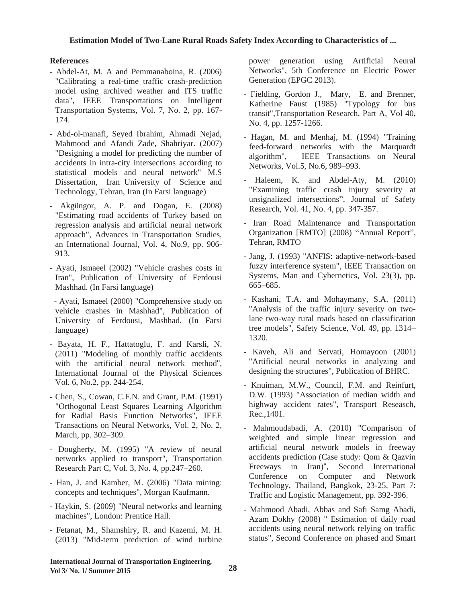## **References**

- Abdel-At, M. A and Pemmanaboina, R. (2006) "Calibrating a real-time traffic crash-prediction model using archived weather and ITS traffic data", IEEE Transportations on Intelligent Transportation Systems, Vol. 7, No. 2, pp. 167- 174.
- Abd-ol-manafi, Seyed Ibrahim, Ahmadi Nejad, Mahmood and Afandi Zade, Shahriyar. (2007) "Designing a model for predicting the number of accidents in intra-city intersections according to statistical models and neural network" M.S Dissertation, Iran University of Science and Technology, Tehran, Iran (In Farsi language)
- Akgüngor, A. P. and Dogan, E. (2008) "Estimating road accidents of Turkey based on regression analysis and artificial neural network approach", Advances in Transportation Studies, an International Journal, Vol. 4, No.9, pp. 906- 913.
- Ayati, Ismaeel (2002) "Vehicle crashes costs in Iran", Publication of University of Ferdousi Mashhad. (In Farsi language)

 - Ayati, Ismaeel (2000) "Comprehensive study on vehicle crashes in Mashhad", Publication of University of Ferdousi, Mashhad. (In Farsi language)

- Bayata, H. F., Hattatoglu, F. and Karsli, N. (2011) "Modeling of monthly traffic accidents with the artificial neural network method", International Journal of the Physical Sciences Vol. 6, No.2, pp. 244-254.
- Chen, S., Cowan, C.F.N. and Grant, P.M. (1991) "Orthogonal Least Squares Learning Algorithm for Radial Basis Function Networks", IEEE Transactions on Neural Networks, Vol. 2, No. 2, March, pp. 302–309.
- Dougherty, M. (1995) "A review of neural networks applied to transport", Transportation Research Part C, Vol. 3, No. 4, pp.247–260.
- Han, J. and Kamber, M. (2006) "Data mining: concepts and techniques", Morgan Kaufmann.
- Haykin, S. (2009) "Neural networks and learning machines", London: Prentice Hall.
- Fetanat, M., Shamshiry, R. and Kazemi, M. H. (2013) "Mid-term prediction of wind turbine

power generation using Artificial Neural Networks", 5th Conference on Electric Power Generation (EPGC 2013).

- Fielding, Gordon J., Mary, E. and Brenner, Katherine Faust (1985) "Typology for bus transit",Transportation Research, Part A, Vol 40, No. 4, pp. 1257-1266.
- Hagan, M. and Menhaj, M. (1994) "Training feed-forward networks with the Marquardt algorithm", IEEE Transactions on Neural Networks, Vol.5, No.6, 989–993.
- Haleem, K. and Abdel-Aty, M. (2010) "Examining traffic crash injury severity at unsignalized intersections", Journal of Safety Research, Vol. 41, No. 4, pp. 347-357.
- Iran Road Maintenance and Transportation Organization [RMTO] (2008) "Annual Report", Tehran, RMTO
- Jang, J. (1993) "ANFIS: adaptive-network-based fuzzy interference system", IEEE Transaction on Systems, Man and Cybernetics, Vol. 23(3), pp. 665–685.
- Kashani, T.A. and Mohaymany, S.A. (2011) "Analysis of the traffic injury severity on twolane two-way rural roads based on classification tree models", Safety Science, Vol. 49, pp. 1314– 1320.
- Kaveh, Ali and Servati, Homayoon (2001) "Artificial neural networks in analyzing and designing the structures", Publication of BHRC.
- Knuiman, M.W., Council, F.M. and Reinfurt, D.W. (1993) "Association of median width and highway accident rates", Transport Reseasch, Rec.,1401.
- Mahmoudabadi, A. (2010) "Comparison of weighted and simple linear regression and artificial neural network models in freeway accidents prediction (Case study: Qom & Qazvin Freeways in Iran)", Second International Conference on Computer and Network Technology, Thailand, Bangkok, 23-25, Part 7: Traffic and Logistic Management, pp. 392-396.
- Mahmood Abadi, Abbas and Safi Samg Abadi, Azam Dokhy (2008) " Estimation of daily road accidents using neural network relying on traffic status", Second Conference on phased and Smart

**International Journal of Transportation Engineering, Vol 3/ No. 1/ Summer 2015**